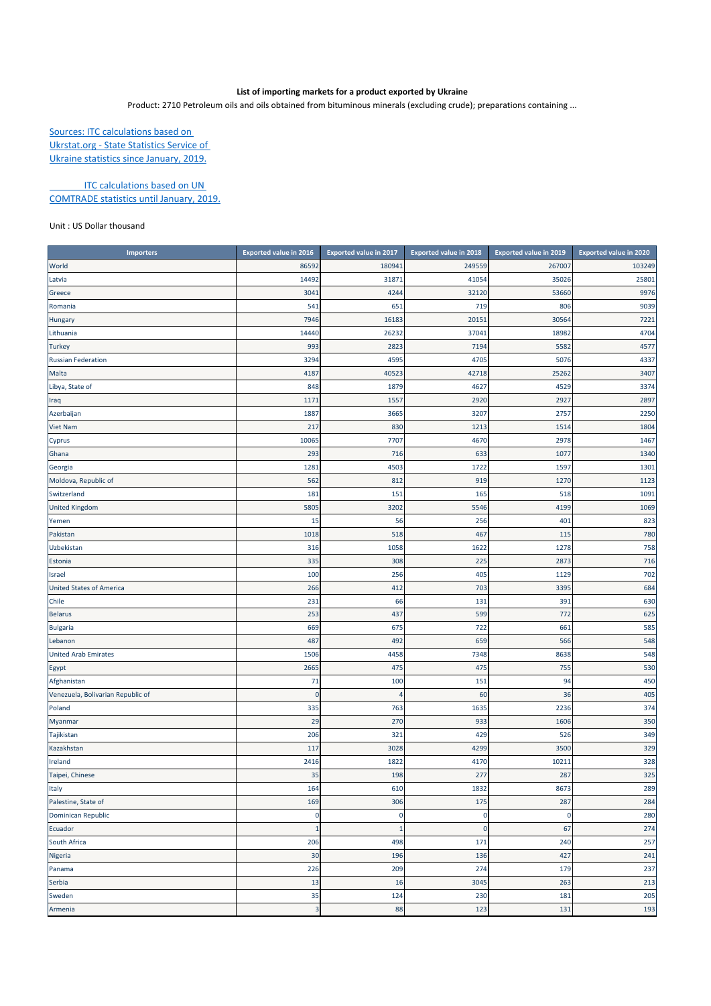## **List of importing markets for a product exported by Ukraine**

Product: 2710 Petroleum oils and oils obtained from bituminous minerals (excluding crude); preparations containing ...

Sources: ITC calculations based on Ukrstat.org ‐ State Statistics Service of Ukraine statistics since January, 2019.

**ITC calculations based on UN** COMTRADE statistics until January, 2019.

Unit : US Dollar thousand

| <b>Importers</b>                  | <b>Exported value in 2016</b> | <b>Exported value in 2017</b> | <b>Exported value in 2018</b> | <b>Exported value in 2019</b> | <b>Exported value in 2020</b> |
|-----------------------------------|-------------------------------|-------------------------------|-------------------------------|-------------------------------|-------------------------------|
| World                             | 86592                         | 180941                        | 249559                        | 267007                        | 103249                        |
| Latvia                            | 14492                         | 31871                         | 41054                         | 35026                         | 25801                         |
| Greece                            | 304                           | 4244                          | 32120                         | 53660                         | 9976                          |
| Romania                           | 541                           | 651                           | 719                           | 806                           | 9039                          |
| Hungary                           | 7946                          | 16183                         | 20151                         | 30564                         | 7221                          |
| Lithuania                         | 14440                         | 26232                         | 37041                         | 18982                         | 4704                          |
| <b>Turkey</b>                     | 993                           | 2823                          | 7194                          | 5582                          | 4577                          |
| <b>Russian Federation</b>         | 3294                          | 4595                          | 4705                          | 5076                          | 4337                          |
| Malta                             | 4187                          | 40523                         | 42718                         | 25262                         | 3407                          |
| Libya, State of                   | 848                           | 1879                          | 4627                          | 4529                          | 3374                          |
| Iraq                              | 117                           | 1557                          | 2920                          | 2927                          | 2897                          |
| Azerbaijan                        | 1887                          | 3665                          | 3207                          | 2757                          | 2250                          |
| <b>Viet Nam</b>                   | 217                           | 830                           | 1213                          | 1514                          | 1804                          |
| Cyprus                            | 10065                         | 7707                          | 4670                          | 2978                          | 1467                          |
| Ghana                             | 293                           | 716                           | 633                           | 1077                          | 1340                          |
| Georgia                           | 1281                          | 4503                          | 1722                          | 1597                          | 1301                          |
| Moldova, Republic of              | 562                           | 812                           | 919                           | 1270                          | 1123                          |
| Switzerland                       | 181                           | 151                           | 165                           | 518                           | 1091                          |
| <b>United Kingdom</b>             | 5805                          | 3202                          | 5546                          | 4199                          | 1069                          |
| Yemen                             | 15                            | 56                            | 256                           | 401                           | 823                           |
| Pakistan                          | 1018                          | 518                           | 467                           | 115                           | 780                           |
| Uzbekistan                        | 316                           | 1058                          | 1622                          | 1278                          | 758                           |
| Estonia                           | 335                           | 308                           | 225                           | 2873                          | 716                           |
| Israel                            | 100                           | 256                           | 405                           | 1129                          | 702                           |
| <b>United States of America</b>   | 266                           | 412                           | 703                           | 3395                          | 684                           |
| Chile                             | 231                           | 66                            | 131                           | 391                           | 630                           |
| <b>Belarus</b>                    | 253                           | 437                           | 599                           | 772                           | 625                           |
| Bulgaria                          | 669                           | 675                           | 722                           | 661                           | 585                           |
| Lebanon                           | 487                           | 492                           | 659                           | 566                           | 548                           |
| <b>United Arab Emirates</b>       | 1506                          | 4458                          | 7348                          | 8638                          | 548                           |
| Egypt                             | 2665                          | 475                           | 475                           | 755                           | 530                           |
| Afghanistan                       | 71                            | 100                           | 151                           | 94                            | 450                           |
| Venezuela, Bolivarian Republic of | $\Omega$                      |                               | <b>60</b>                     | 36                            | 405                           |
| Poland                            | 335                           | 763                           | 1635                          | 2236                          | 374                           |
| Myanmar                           | 29                            | 270                           | 933                           | 1606                          | 350                           |
| Tajikistan                        | 206                           | 321                           | 429                           | 526                           | 349                           |
| Kazakhstan                        | 117                           | 3028                          | 4299                          | 3500                          | 329                           |
| Ireland                           | 2416                          | 1822                          | 4170                          | 10211                         | 328                           |
| Taipei, Chinese                   | 35                            | 198                           | 277                           | 287                           | 325                           |
| Italy                             | 164                           | 610                           | 1832                          | 8673                          | 289                           |
| Palestine, State of               | 169                           | 306                           | 175                           | 287                           | 284                           |
| Dominican Republic                | $\mathbf 0$                   | $\mathbf 0$                   | $\mathbf 0$                   | 0                             | 280                           |
| Ecuador                           | $\mathbf{1}$                  | $\mathbf{1}$                  | $\mathcal{C}$                 | 67                            | 274                           |
| South Africa                      | 206                           | 498                           | 171                           | 240                           | 257                           |
| Nigeria                           | 30                            | 196                           | 136                           | 427                           | 241                           |
| Panama                            | 226                           | 209                           | 274                           | 179                           | 237                           |
| Serbia                            | 13                            | 16                            | 3045                          | 263                           | 213                           |
| Sweden                            | 35                            | 124                           | 230                           | 181                           | 205                           |
| Armenia                           | $\overline{\mathbf{3}}$       | 88                            | 123                           | 131                           | 193                           |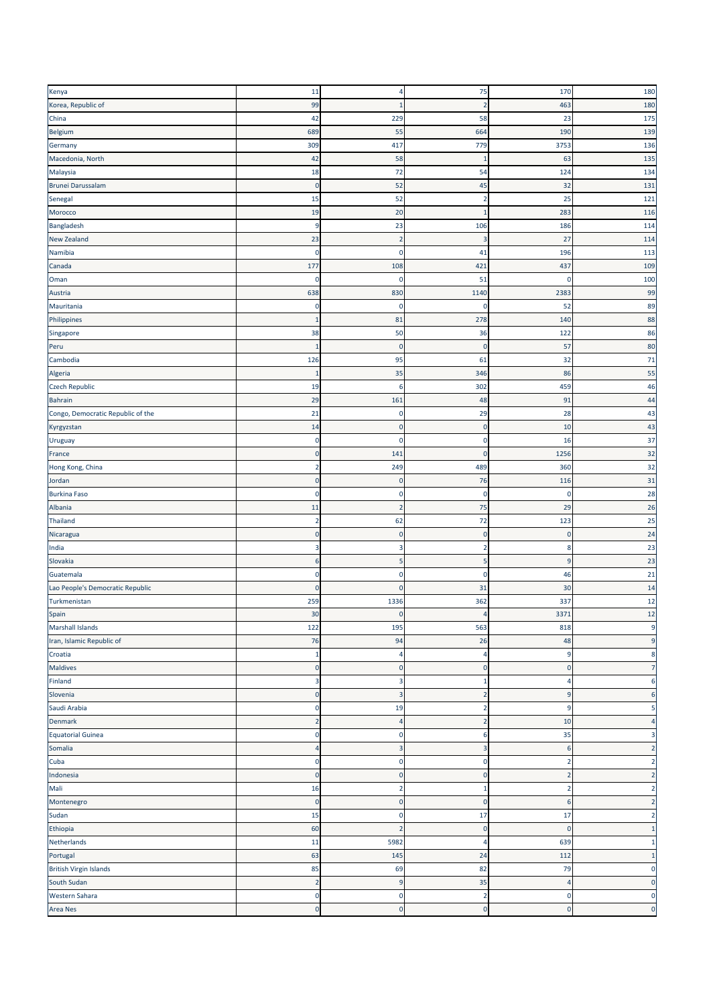| Kenya                             | 11             | 4            | 75                      | 170                     | 180                     |
|-----------------------------------|----------------|--------------|-------------------------|-------------------------|-------------------------|
| Korea, Republic of                | 99             |              |                         | 463                     | 180                     |
| China                             | 42             | 229          | 58                      | 23                      | 175                     |
| Belgium                           | 689            | 55           | 664                     | 190                     | 139                     |
| Germany                           | 309            | 417          | 779                     | 3753                    | 136                     |
| Macedonia, North                  | 42             | 58           | $\mathbf{1}$            | 63                      | 135                     |
| Malaysia                          | 18             | 72           | 54                      | 124                     | 134                     |
| <b>Brunei Darussalam</b>          | $\mathbf 0$    | 52           | 45                      | 32                      | 131                     |
| Senegal                           | 15             | 52           | $\overline{2}$          | 25                      | 121                     |
| Morocco                           | 19             | 20           | -1                      | 283                     | 116                     |
| Bangladesh                        | q              | 23           | 106                     | 186                     | 114                     |
| <b>New Zealand</b>                | 23             |              | $\overline{\mathbf{3}}$ | 27                      | 114                     |
| Namibia                           | $\Omega$       | $\Omega$     | 41                      | 196                     | 113                     |
| Canada                            | 177            | 108          | 421                     | 437                     | 109                     |
| Oman                              | n              | $\Omega$     | 51                      | C                       | 100                     |
| Austria                           | 638            | 830          | 1140                    | 2383                    | 99                      |
| Mauritania                        | 0              | $\Omega$     | $\mathbf 0$             | 52                      | 89                      |
| Philippines                       |                | 81           | 278                     | 140                     | 88                      |
| Singapore                         | 38             | 50           | 36                      | 122                     | 86                      |
| Peru                              |                | $\Omega$     | $\mathsf{C}$            | 57                      | 80                      |
| Cambodia                          | 126            | 95           | 61                      | 32                      | $71\,$                  |
| Algeria                           | -1             | 35           | 346                     | 86                      | 55                      |
| <b>Czech Republic</b>             | 19             | 6            | 302                     | 459                     | 46                      |
| Bahrain                           | 29             | 161          | 48                      | 91                      | 44                      |
| Congo, Democratic Republic of the | 21             | n            | 29                      | 28                      | 43                      |
| Kyrgyzstan                        | 14             |              | -C                      | 10                      | 43                      |
| Uruguay                           | O              | C            | $\overline{0}$          | 16                      | 37                      |
| France                            | $\Omega$       | 141          | $\Omega$                | 1256                    | 32                      |
| Hong Kong, China                  | 2              | 249          | 489                     | 360                     | 32                      |
| Jordan                            | C              | n            | 76                      | 116                     | 31                      |
| <b>Burkina Faso</b>               | $\Omega$       | $\mathbf{0}$ | $\overline{0}$          | $\mathbf 0$             | 28                      |
| Albania                           | 11             | 2            | 75                      | 29                      | 26                      |
| Thailand                          |                | 62           | 72                      | 123                     | 25                      |
| Nicaragua                         |                |              | $\epsilon$              | 0                       | 24                      |
| India                             | 3              |              | $\overline{2}$          | 8                       | 23                      |
| Slovakia                          | 6              |              | 5                       | 9                       | 23                      |
| Guatemala                         | $\Omega$       |              | $\mathbf 0$             | 46                      | 21                      |
| Lao People's Democratic Republic  | C              |              | 31                      | 30                      | 14                      |
| Turkmenistan                      | 259            | 1336         | 362                     | 337                     | $12$                    |
| Spain                             | 30             | $\mathbf 0$  | $\overline{4}$          | 3371                    | 12                      |
| Marshall Islands                  | 122            | 195          | 563                     | 818                     | $\overline{9}$          |
| Iran, Islamic Republic of         | 76             | 94           | 26                      | 48                      | $\overline{9}$          |
| Croatia                           | 1              |              | 4                       | 9                       | $\boldsymbol{8}$        |
| <b>Maldives</b>                   | $\mathbf 0$    | n            | $\overline{0}$          | $\mathbf 0$             | $\overline{7}$          |
| Finland                           | 3              |              |                         | 4                       | 6                       |
| Slovenia                          | $\Omega$       | з            | $\overline{2}$          | 9                       | $\sqrt{6}$              |
| Saudi Arabia                      | $\Omega$       | 19           | $\overline{2}$          | 9                       | $\overline{\mathbf{5}}$ |
| Denmark                           | $\overline{2}$ |              | $\overline{2}$          | 10                      | $\overline{4}$          |
| Equatorial Guinea                 | 0              |              | 6                       | 35                      | $\overline{\mathbf{3}}$ |
| Somalia                           |                | 3            | $\overline{3}$          | 6                       | $\overline{2}$          |
| Cuba                              | 0              | 0            | $\overline{0}$          | $\overline{\mathbf{c}}$ | $\overline{2}$          |
| Indonesia                         | $\mathbf 0$    | U            | $\overline{0}$          | $\mathbf 2$             | $\overline{2}$          |
| Mali                              | 16             |              | -1                      | 2                       | $\overline{2}$          |
| Montenegro                        | $\pmb{0}$      | $\Omega$     | $\overline{0}$          | 6                       | $\overline{2}$          |
| Sudan                             | 15             | $\mathbf 0$  | 17                      | 17                      | $\overline{2}$          |
| Ethiopia                          | 60             |              | $\mathbf 0$             | $\pmb{0}$               | $\,$ 1                  |
| Netherlands                       | 11             | 5982         | $\overline{a}$          | 639                     | $\mathbf{1}$            |
| Portugal                          | 63             | 145          | 24                      | 112                     | $\mathbf{1}$            |
| <b>British Virgin Islands</b>     | 85             | 69           | 82                      | 79                      | $\overline{0}$          |
| South Sudan                       | $\overline{2}$ | 9            | 35                      | $\overline{4}$          | $\overline{0}$          |
| <b>Western Sahara</b>             | $\bf{0}$       | $\mathbf 0$  | $\overline{2}$          | $\mathbf 0$             | $\overline{0}$          |
| <b>Area Nes</b>                   | $\mathbf 0$    | $\mathbf 0$  | $\mathbf 0$             | $\mathbf 0$             | $\pmb{0}$               |